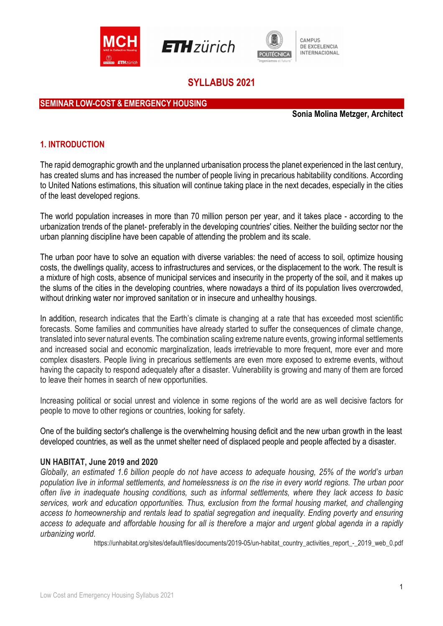





# SYLLABUS 2021

### SEMINAR LOW-COST & EMERGENCY HOUSING

Sonia Molina Metzger, Architect

#### 1. INTRODUCTION

The rapid demographic growth and the unplanned urbanisation process the planet experienced in the last century, has created slums and has increased the number of people living in precarious habitability conditions. According to United Nations estimations, this situation will continue taking place in the next decades, especially in the cities of the least developed regions.

The world population increases in more than 70 million person per year, and it takes place - according to the urbanization trends of the planet- preferably in the developing countries' cities. Neither the building sector nor the urban planning discipline have been capable of attending the problem and its scale.

The urban poor have to solve an equation with diverse variables: the need of access to soil, optimize housing costs, the dwellings quality, access to infrastructures and services, or the displacement to the work. The result is a mixture of high costs, absence of municipal services and insecurity in the property of the soil, and it makes up the slums of the cities in the developing countries, where nowadays a third of its population lives overcrowded, without drinking water nor improved sanitation or in insecure and unhealthy housings.

In addition, research indicates that the Earth's climate is changing at a rate that has exceeded most scientific forecasts. Some families and communities have already started to suffer the consequences of climate change, translated into sever natural events. The combination scaling extreme nature events, growing informal settlements and increased social and economic marginalization, leads irretrievable to more frequent, more ever and more complex disasters. People living in precarious settlements are even more exposed to extreme events, without having the capacity to respond adequately after a disaster. Vulnerability is growing and many of them are forced to leave their homes in search of new opportunities.

Increasing political or social unrest and violence in some regions of the world are as well decisive factors for people to move to other regions or countries, looking for safety.

One of the building sector's challenge is the overwhelming housing deficit and the new urban growth in the least developed countries, as well as the unmet shelter need of displaced people and people affected by a disaster.

#### UN HABITAT, June 2019 and 2020

Globally, an estimated 1.6 billion people do not have access to adequate housing, 25% of the world's urban population live in informal settlements, and homelessness is on the rise in every world regions. The urban poor often live in inadequate housing conditions, such as informal settlements, where they lack access to basic services, work and education opportunities. Thus, exclusion from the formal housing market, and challenging access to homeownership and rentals lead to spatial segregation and inequality. Ending poverty and ensuring access to adequate and affordable housing for all is therefore a major and urgent global agenda in a rapidly urbanizing world.

https://unhabitat.org/sites/default/files/documents/2019-05/un-habitat\_country\_activities\_report\_-\_2019\_web\_0.pdf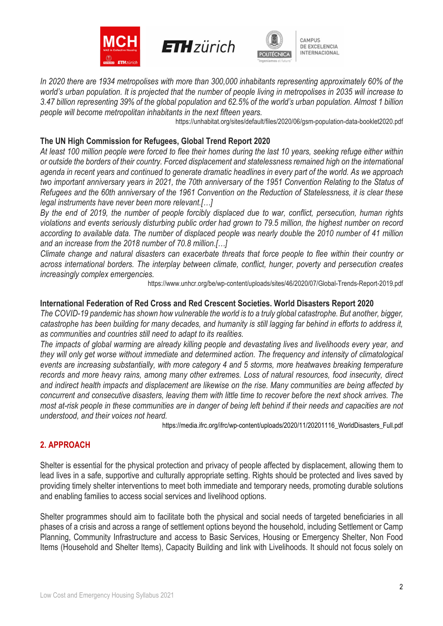





In 2020 there are 1934 metropolises with more than 300,000 inhabitants representing approximately 60% of the world's urban population. It is projected that the number of people living in metropolises in 2035 will increase to 3.47 billion representing 39% of the global population and 62.5% of the world's urban population. Almost 1 billion people will become metropolitan inhabitants in the next fifteen years.

https://unhabitat.org/sites/default/files/2020/06/gsm-population-data-booklet2020.pdf

### The UN High Commission for Refugees, Global Trend Report 2020

At least 100 million people were forced to flee their homes during the last 10 years, seeking refuge either within or outside the borders of their country. Forced displacement and statelessness remained high on the international agenda in recent years and continued to generate dramatic headlines in every part of the world. As we approach two important anniversary years in 2021, the 70th anniversary of the 1951 Convention Relating to the Status of Refugees and the 60th anniversary of the 1961 Convention on the Reduction of Statelessness, it is clear these legal instruments have never been more relevant.[…]

By the end of 2019, the number of people forcibly displaced due to war, conflict, persecution, human rights violations and events seriously disturbing public order had grown to 79.5 million, the highest number on record according to available data. The number of displaced people was nearly double the 2010 number of 41 million and an increase from the 2018 number of 70.8 million.[…]

Climate change and natural disasters can exacerbate threats that force people to flee within their country or across international borders. The interplay between climate, conflict, hunger, poverty and persecution creates increasingly complex emergencies.

https://www.unhcr.org/be/wp-content/uploads/sites/46/2020/07/Global-Trends-Report-2019.pdf

#### International Federation of Red Cross and Red Crescent Societies. World Disasters Report 2020

The COVID-19 pandemic has shown how vulnerable the world is to a truly global catastrophe. But another, bigger, catastrophe has been building for many decades, and humanity is still lagging far behind in efforts to address it, as communities and countries still need to adapt to its realities.

The impacts of global warming are already killing people and devastating lives and livelihoods every year, and they will only get worse without immediate and determined action. The frequency and intensity of climatological events are increasing substantially, with more category 4 and 5 storms, more heatwaves breaking temperature records and more heavy rains, among many other extremes. Loss of natural resources, food insecurity, direct and indirect health impacts and displacement are likewise on the rise. Many communities are being affected by concurrent and consecutive disasters, leaving them with little time to recover before the next shock arrives. The most at-risk people in these communities are in danger of being left behind if their needs and capacities are not understood, and their voices not heard.

https://media.ifrc.org/ifrc/wp-content/uploads/2020/11/20201116\_WorldDisasters\_Full.pdf

## 2. APPROACH

Shelter is essential for the physical protection and privacy of people affected by displacement, allowing them to lead lives in a safe, supportive and culturally appropriate setting. Rights should be protected and lives saved by providing timely shelter interventions to meet both immediate and temporary needs, promoting durable solutions and enabling families to access social services and livelihood options.

Shelter programmes should aim to facilitate both the physical and social needs of targeted beneficiaries in all phases of a crisis and across a range of settlement options beyond the household, including Settlement or Camp Planning, Community Infrastructure and access to Basic Services, Housing or Emergency Shelter, Non Food Items (Household and Shelter Items), Capacity Building and link with Livelihoods. It should not focus solely on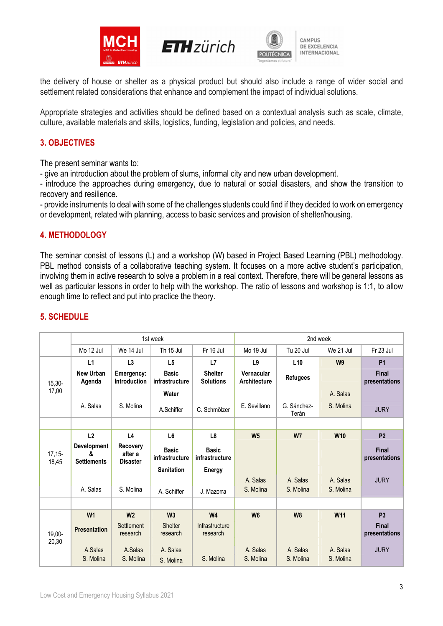





the delivery of house or shelter as a physical product but should also include a range of wider social and settlement related considerations that enhance and complement the impact of individual solutions.

Appropriate strategies and activities should be defined based on a contextual analysis such as scale, climate, culture, available materials and skills, logistics, funding, legislation and policies, and needs.

### 3. OBJECTIVES

The present seminar wants to:

- give an introduction about the problem of slums, informal city and new urban development.

- introduce the approaches during emergency, due to natural or social disasters, and show the transition to recovery and resilience.

- provide instruments to deal with some of the challenges students could find if they decided to work on emergency or development, related with planning, access to basic services and provision of shelter/housing.

### 4. METHODOLOGY

The seminar consist of lessons (L) and a workshop (W) based in Project Based Learning (PBL) methodology. PBL method consists of a collaborative teaching system. It focuses on a more active student's participation, involving them in active research to solve a problem in a real context. Therefore, there will be general lessons as well as particular lessons in order to help with the workshop. The ratio of lessons and workshop is 1:1, to allow enough time to reflect and put into practice the theory.

|                   | 1st week                               |                                               |                                |                                    | 2nd week                          |                      |                 |                        |
|-------------------|----------------------------------------|-----------------------------------------------|--------------------------------|------------------------------------|-----------------------------------|----------------------|-----------------|------------------------|
|                   | Mo 12 Jul                              | We 14 Jul                                     | Th 15 Jul                      | Fr 16 Jul                          | Mo 19 Jul                         | Tu 20 Jul            | We 21 Jul       | Fr 23 Jul              |
| $15,30-$<br>17,00 | L1                                     | L3                                            | L <sub>5</sub>                 | L7                                 | L9                                | L10                  | W <sub>9</sub>  | <b>P1</b>              |
|                   | <b>New Urban</b><br>Agenda             | Emergency:<br>Introduction                    | <b>Basic</b><br>infrastructure | <b>Shelter</b><br><b>Solutions</b> | Vernacular<br><b>Architecture</b> | <b>Refugees</b>      |                 | Final<br>presentations |
|                   |                                        |                                               | Water                          |                                    |                                   |                      | A. Salas        |                        |
|                   | A. Salas                               | S. Molina                                     | A.Schiffer                     | C. Schmölzer                       | E. Sevillano                      | G. Sánchez-<br>Terán | S. Molina       | <b>JURY</b>            |
|                   |                                        |                                               |                                |                                    |                                   |                      |                 |                        |
| $17,15-$<br>18,45 | L <sub>2</sub>                         | L <sub>4</sub>                                | L <sub>6</sub>                 | L8                                 | W <sub>5</sub>                    | <b>W7</b>            | <b>W10</b>      | <b>P2</b>              |
|                   | Development<br>ጼ<br><b>Settlements</b> | <b>Recovery</b><br>after a<br><b>Disaster</b> | <b>Basic</b><br>infrastructure | <b>Basic</b><br>infrastructure     |                                   |                      |                 | Final<br>presentations |
|                   |                                        |                                               | <b>Sanitation</b>              | Energy                             |                                   |                      |                 |                        |
|                   |                                        |                                               |                                |                                    | A. Salas                          | A. Salas             | A. Salas        | <b>JURY</b>            |
|                   | A. Salas                               | S. Molina                                     | A. Schiffer                    | J. Mazorra                         | S. Molina                         | S. Molina            | S. Molina       |                        |
|                   |                                        |                                               |                                |                                    |                                   |                      |                 |                        |
| 19,00-<br>20,30   | W <sub>1</sub>                         | W <sub>2</sub>                                | W <sub>3</sub>                 | W <sub>4</sub>                     | W <sub>6</sub>                    | W <sub>8</sub>       | W <sub>11</sub> | P <sub>3</sub>         |
|                   | <b>Presentation</b>                    | Settlement<br>research                        | Shelter<br>research            | Infrastructure<br>research         |                                   |                      |                 | Final<br>presentations |
|                   | A.Salas                                | A.Salas                                       | A. Salas                       |                                    | A. Salas                          | A. Salas             | A. Salas        | <b>JURY</b>            |
|                   | S. Molina                              | S. Molina                                     | S. Molina                      | S. Molina                          | S. Molina                         | S. Molina            | S. Molina       |                        |

## 5. SCHEDULE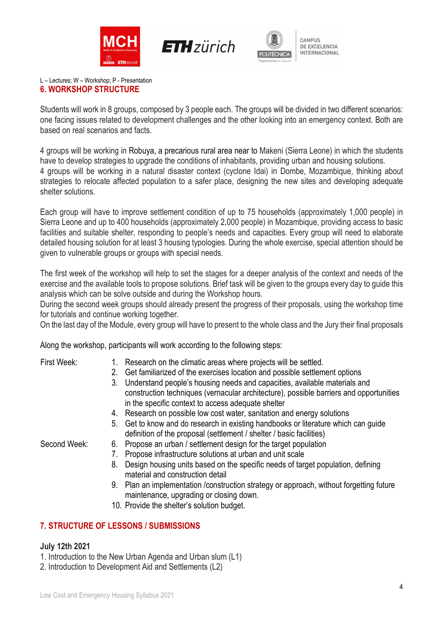





# L – Lectures; W – Workshop; P - Presentation

### 6. WORKSHOP STRUCTURE

Students will work in 8 groups, composed by 3 people each. The groups will be divided in two different scenarios: one facing issues related to development challenges and the other looking into an emergency context. Both are based on real scenarios and facts.

4 groups will be working in Robuya, a precarious rural area near to Makeni (Sierra Leone) in which the students have to develop strategies to upgrade the conditions of inhabitants, providing urban and housing solutions. 4 groups will be working in a natural disaster context (cyclone Idai) in Dombe, Mozambique, thinking about strategies to relocate affected population to a safer place, designing the new sites and developing adequate shelter solutions.

Each group will have to improve settlement condition of up to 75 households (approximately 1,000 people) in Sierra Leone and up to 400 households (approximately 2,000 people) in Mozambique, providing access to basic facilities and suitable shelter, responding to people's needs and capacities. Every group will need to elaborate detailed housing solution for at least 3 housing typologies. During the whole exercise, special attention should be given to vulnerable groups or groups with special needs.

The first week of the workshop will help to set the stages for a deeper analysis of the context and needs of the exercise and the available tools to propose solutions. Brief task will be given to the groups every day to guide this analysis which can be solve outside and during the Workshop hours.

During the second week groups should already present the progress of their proposals, using the workshop time for tutorials and continue working together.

On the last day of the Module, every group will have to present to the whole class and the Jury their final proposals

Along the workshop, participants will work according to the following steps:

- First Week: 1. Research on the climatic areas where projects will be settled.
	- 2. Get familiarized of the exercises location and possible settlement options
	- 3. Understand people's housing needs and capacities, available materials and construction techniques (vernacular architecture), possible barriers and opportunities in the specific context to access adequate shelter
	- 4. Research on possible low cost water, sanitation and energy solutions
	- 5. Get to know and do research in existing handbooks or literature which can guide definition of the proposal (settlement / shelter / basic facilities)

Second Week: 6. Propose an urban / settlement design for the target population

- 7. Propose infrastructure solutions at urban and unit scale
- 8. Design housing units based on the specific needs of target population, defining material and construction detail
- 9. Plan an implementation /construction strategy or approach, without forgetting future maintenance, upgrading or closing down.
- 10. Provide the shelter's solution budget.

## 7. STRUCTURE OF LESSONS / SUBMISSIONS

#### July 12th 2021

- 1. Introduction to the New Urban Agenda and Urban slum (L1)
- 2. Introduction to Development Aid and Settlements (L2)